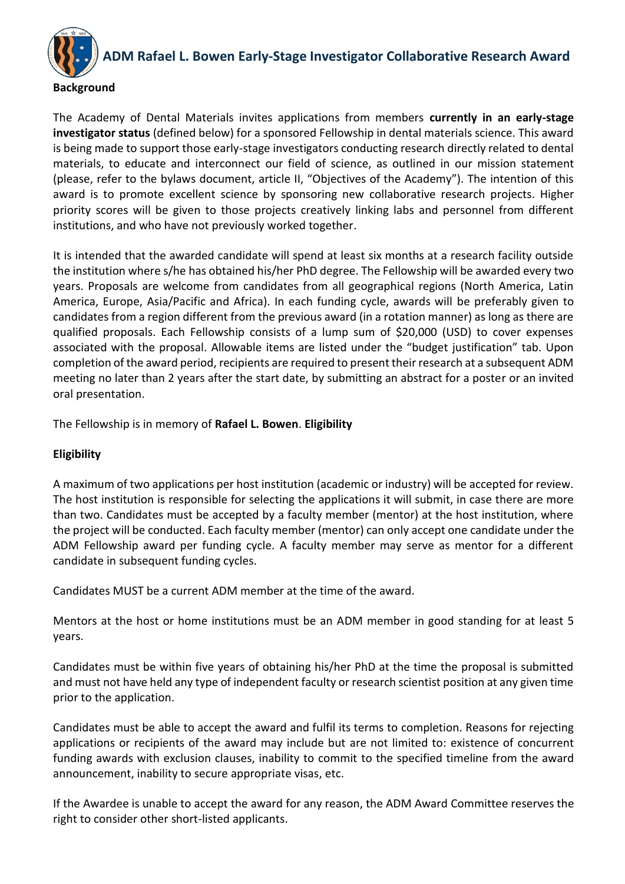

 **ADM Rafael L. Bowen Early-Stage Investigator Collaborative Research Award**

The Academy of Dental Materials invites applications from members **currently in an early-stage investigator status** (defined below) for a sponsored Fellowship in dental materials science. This award is being made to support those early-stage investigators conducting research directly related to dental materials, to educate and interconnect our field of science, as outlined in our mission statement (please, refer to the bylaws document, article II, "Objectives of the Academy"). The intention of this award is to promote excellent science by sponsoring new collaborative research projects. Higher priority scores will be given to those projects creatively linking labs and personnel from different institutions, and who have not previously worked together.

It is intended that the awarded candidate will spend at least six months at a research facility outside the institution where s/he has obtained his/her PhD degree. The Fellowship will be awarded every two years. Proposals are welcome from candidates from all geographical regions (North America, Latin America, Europe, Asia/Pacific and Africa). In each funding cycle, awards will be preferably given to candidates from a region different from the previous award (in a rotation manner) as long as there are qualified proposals. Each Fellowship consists of a lump sum of \$20,000 (USD) to cover expenses associated with the proposal. Allowable items are listed under the "budget justification" tab. Upon completion of the award period, recipients are required to present their research at a subsequent ADM meeting no later than 2 years after the start date, by submitting an abstract for a poster or an invited oral presentation.

The Fellowship is in memory of **Rafael L. Bowen**. **Eligibility** 

## **Eligibility**

A maximum of two applications per host institution (academic or industry) will be accepted for review. The host institution is responsible for selecting the applications it will submit, in case there are more than two. Candidates must be accepted by a faculty member (mentor) at the host institution, where the project will be conducted. Each faculty member (mentor) can only accept one candidate under the ADM Fellowship award per funding cycle. A faculty member may serve as mentor for a different candidate in subsequent funding cycles.

Candidates MUST be a current ADM member at the time of the award.

Mentors at the host or home institutions must be an ADM member in good standing for at least 5 years.

Candidates must be within five years of obtaining his/her PhD at the time the proposal is submitted and must not have held any type of independent faculty or research scientist position at any given time prior to the application.

Candidates must be able to accept the award and fulfil its terms to completion. Reasons for rejecting applications or recipients of the award may include but are not limited to: existence of concurrent funding awards with exclusion clauses, inability to commit to the specified timeline from the award announcement, inability to secure appropriate visas, etc.

If the Awardee is unable to accept the award for any reason, the ADM Award Committee reserves the right to consider other short-listed applicants.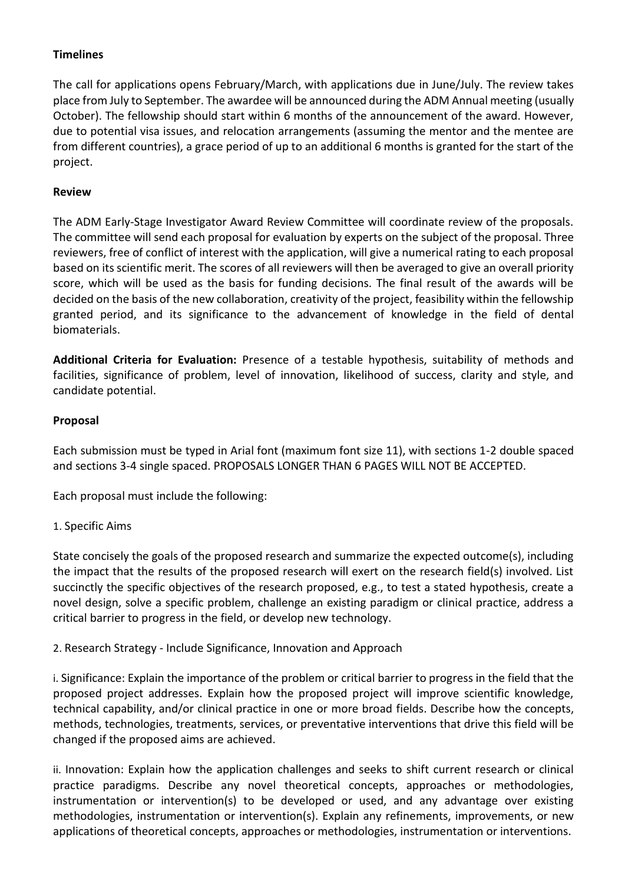## **Timelines**

The call for applications opens February/March, with applications due in June/July. The review takes place from July to September. The awardee will be announced during the ADM Annual meeting (usually October). The fellowship should start within 6 months of the announcement of the award. However, due to potential visa issues, and relocation arrangements (assuming the mentor and the mentee are from different countries), a grace period of up to an additional 6 months is granted for the start of the project.

### **Review**

The ADM Early-Stage Investigator Award Review Committee will coordinate review of the proposals. The committee will send each proposal for evaluation by experts on the subject of the proposal. Three reviewers, free of conflict of interest with the application, will give a numerical rating to each proposal based on its scientific merit. The scores of all reviewers will then be averaged to give an overall priority score, which will be used as the basis for funding decisions. The final result of the awards will be decided on the basis of the new collaboration, creativity of the project, feasibility within the fellowship granted period, and its significance to the advancement of knowledge in the field of dental biomaterials.

**Additional Criteria for Evaluation:** Presence of a testable hypothesis, suitability of methods and facilities, significance of problem, level of innovation, likelihood of success, clarity and style, and candidate potential.

#### **Proposal**

Each submission must be typed in Arial font (maximum font size 11), with sections 1-2 double spaced and sections 3-4 single spaced. PROPOSALS LONGER THAN 6 PAGES WILL NOT BE ACCEPTED.

Each proposal must include the following:

#### 1. Specific Aims

State concisely the goals of the proposed research and summarize the expected outcome(s), including the impact that the results of the proposed research will exert on the research field(s) involved. List succinctly the specific objectives of the research proposed, e.g., to test a stated hypothesis, create a novel design, solve a specific problem, challenge an existing paradigm or clinical practice, address a critical barrier to progress in the field, or develop new technology.

2. Research Strategy - Include Significance, Innovation and Approach

i. Significance: Explain the importance of the problem or critical barrier to progress in the field that the proposed project addresses. Explain how the proposed project will improve scientific knowledge, technical capability, and/or clinical practice in one or more broad fields. Describe how the concepts, methods, technologies, treatments, services, or preventative interventions that drive this field will be changed if the proposed aims are achieved.

ii. Innovation: Explain how the application challenges and seeks to shift current research or clinical practice paradigms. Describe any novel theoretical concepts, approaches or methodologies, instrumentation or intervention(s) to be developed or used, and any advantage over existing methodologies, instrumentation or intervention(s). Explain any refinements, improvements, or new applications of theoretical concepts, approaches or methodologies, instrumentation or interventions.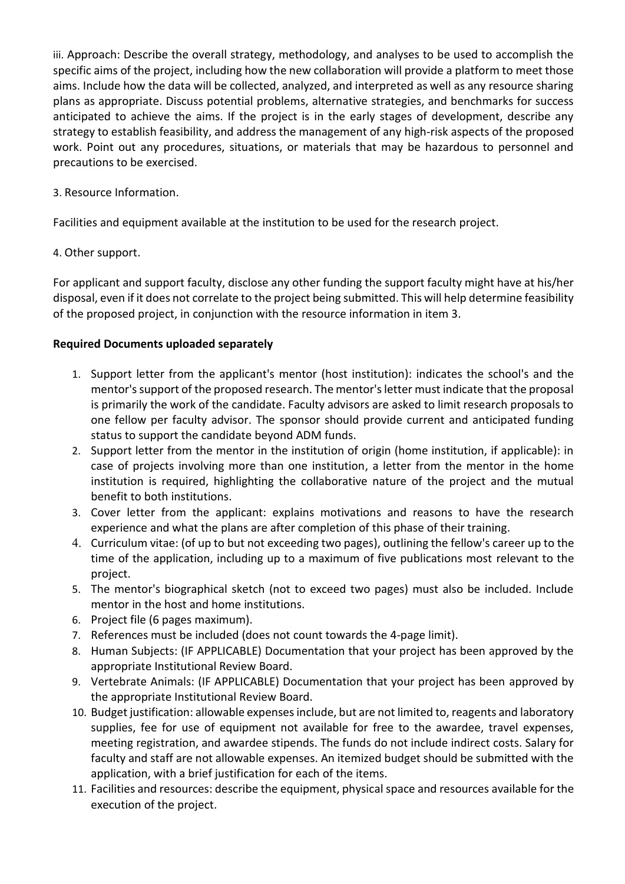iii. Approach: Describe the overall strategy, methodology, and analyses to be used to accomplish the specific aims of the project, including how the new collaboration will provide a platform to meet those aims. Include how the data will be collected, analyzed, and interpreted as well as any resource sharing plans as appropriate. Discuss potential problems, alternative strategies, and benchmarks for success anticipated to achieve the aims. If the project is in the early stages of development, describe any strategy to establish feasibility, and address the management of any high-risk aspects of the proposed work. Point out any procedures, situations, or materials that may be hazardous to personnel and precautions to be exercised.

## 3. Resource Information.

Facilities and equipment available at the institution to be used for the research project.

# 4. Other support.

For applicant and support faculty, disclose any other funding the support faculty might have at his/her disposal, even if it does not correlate to the project being submitted. This will help determine feasibility of the proposed project, in conjunction with the resource information in item 3.

# **Required Documents uploaded separately**

- 1. Support letter from the applicant's mentor (host institution): indicates the school's and the mentor's support of the proposed research. The mentor's letter must indicate that the proposal is primarily the work of the candidate. Faculty advisors are asked to limit research proposals to one fellow per faculty advisor. The sponsor should provide current and anticipated funding status to support the candidate beyond ADM funds.
- 2. Support letter from the mentor in the institution of origin (home institution, if applicable): in case of projects involving more than one institution, a letter from the mentor in the home institution is required, highlighting the collaborative nature of the project and the mutual benefit to both institutions.
- 3. Cover letter from the applicant: explains motivations and reasons to have the research experience and what the plans are after completion of this phase of their training.
- 4. Curriculum vitae: (of up to but not exceeding two pages), outlining the fellow's career up to the time of the application, including up to a maximum of five publications most relevant to the project.
- 5. The mentor's biographical sketch (not to exceed two pages) must also be included. Include mentor in the host and home institutions.
- 6. Project file (6 pages maximum).
- 7. References must be included (does not count towards the 4-page limit).
- 8. Human Subjects: (IF APPLICABLE) Documentation that your project has been approved by the appropriate Institutional Review Board.
- 9. Vertebrate Animals: (IF APPLICABLE) Documentation that your project has been approved by the appropriate Institutional Review Board.
- 10. Budget justification: allowable expenses include, but are not limited to, reagents and laboratory supplies, fee for use of equipment not available for free to the awardee, travel expenses, meeting registration, and awardee stipends. The funds do not include indirect costs. Salary for faculty and staff are not allowable expenses. An itemized budget should be submitted with the application, with a brief justification for each of the items.
- 11. Facilities and resources: describe the equipment, physical space and resources available for the execution of the project.